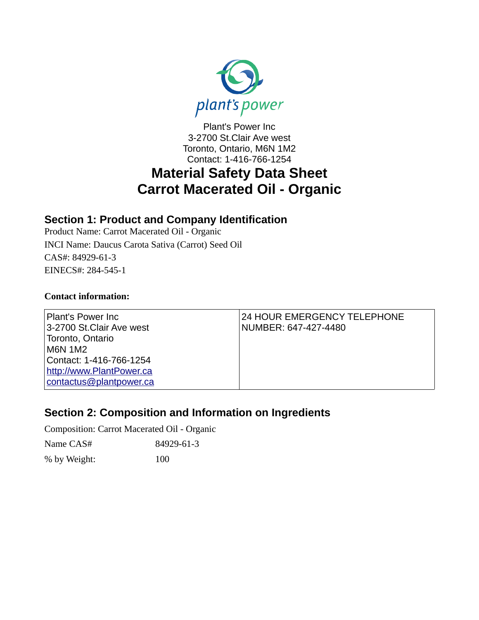

Plant's Power Inc 3-2700 St.Clair Ave west Toronto, Ontario, M6N 1M2 Contact: 1-416-766-1254

# **Material Safety Data Sheet Carrot Macerated Oil - Organic**

#### **Section 1: Product and Company Identification**

Product Name: Carrot Macerated Oil - Organic INCI Name: Daucus Carota Sativa (Carrot) Seed Oil CAS#: 84929-61-3 EINECS#: 284-545-1

#### **Contact information:**

| <b>Plant's Power Inc.</b><br>3-2700 St.Clair Ave west | 24 HOUR EMERGENCY TELEPHONE<br>NUMBER: 647-427-4480 |
|-------------------------------------------------------|-----------------------------------------------------|
| Toronto, Ontario                                      |                                                     |
| M6N 1M2                                               |                                                     |
| Contact: 1-416-766-1254                               |                                                     |
| http://www.PlantPower.ca                              |                                                     |
| contactus@plantpower.ca                               |                                                     |

### **Section 2: Composition and Information on Ingredients**

Composition: Carrot Macerated Oil - Organic

| Name CAS#    | 84929-61-3 |
|--------------|------------|
| % by Weight: | 100        |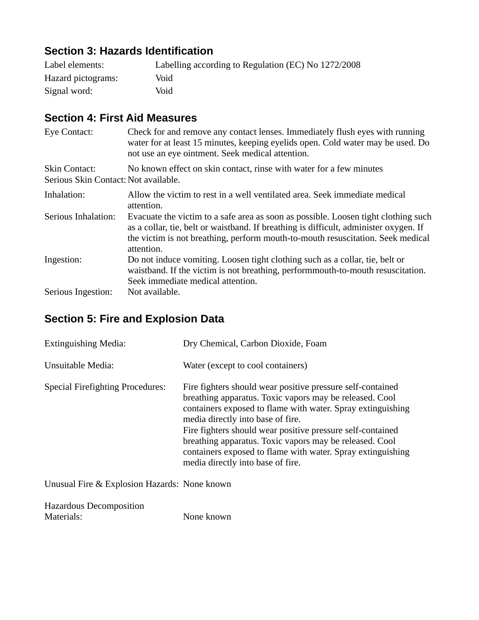### **Section 3: Hazards Identification**

| Label elements:    | Labelling according to Regulation (EC) No 1272/2008 |
|--------------------|-----------------------------------------------------|
| Hazard pictograms: | Void                                                |
| Signal word:       | Void                                                |

#### **Section 4: First Aid Measures**

| <b>Eye Contact:</b>                                          | Check for and remove any contact lenses. Immediately flush eyes with running<br>water for at least 15 minutes, keeping eyelids open. Cold water may be used. Do<br>not use an eye ointment. Seek medical attention.                                                          |
|--------------------------------------------------------------|------------------------------------------------------------------------------------------------------------------------------------------------------------------------------------------------------------------------------------------------------------------------------|
| <b>Skin Contact:</b><br>Serious Skin Contact: Not available. | No known effect on skin contact, rinse with water for a few minutes                                                                                                                                                                                                          |
| Inhalation:                                                  | Allow the victim to rest in a well ventilated area. Seek immediate medical<br>attention.                                                                                                                                                                                     |
| Serious Inhalation:                                          | Evacuate the victim to a safe area as soon as possible. Loosen tight clothing such<br>as a collar, tie, belt or waistband. If breathing is difficult, administer oxygen. If<br>the victim is not breathing, perform mouth-to-mouth resuscitation. Seek medical<br>attention. |
| Ingestion:                                                   | Do not induce vomiting. Loosen tight clothing such as a collar, tie, belt or<br>waistband. If the victim is not breathing, performmouth-to-mouth resuscitation.<br>Seek immediate medical attention.                                                                         |
| Serious Ingestion:                                           | Not available.                                                                                                                                                                                                                                                               |

### **Section 5: Fire and Explosion Data**

| <b>Extinguishing Media:</b>             | Dry Chemical, Carbon Dioxide, Foam                                                                                                                                                                                                                                                                                                                                                                                                                     |
|-----------------------------------------|--------------------------------------------------------------------------------------------------------------------------------------------------------------------------------------------------------------------------------------------------------------------------------------------------------------------------------------------------------------------------------------------------------------------------------------------------------|
| Unsuitable Media:                       | Water (except to cool containers)                                                                                                                                                                                                                                                                                                                                                                                                                      |
| <b>Special Firefighting Procedures:</b> | Fire fighters should wear positive pressure self-contained<br>breathing apparatus. Toxic vapors may be released. Cool<br>containers exposed to flame with water. Spray extinguishing<br>media directly into base of fire.<br>Fire fighters should wear positive pressure self-contained<br>breathing apparatus. Toxic vapors may be released. Cool<br>containers exposed to flame with water. Spray extinguishing<br>media directly into base of fire. |

Unusual Fire & Explosion Hazards: None known

| <b>Hazardous Decomposition</b> |            |
|--------------------------------|------------|
| Materials:                     | None known |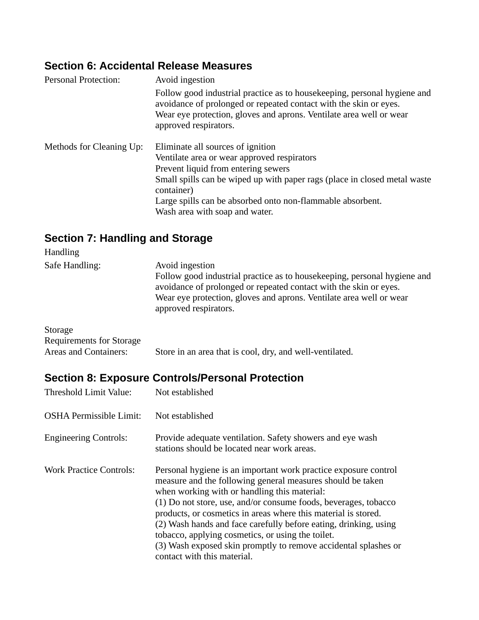### **Section 6: Accidental Release Measures**

| <b>Personal Protection:</b> | Avoid ingestion                                                                                                                                                                                                                                                                                                    |
|-----------------------------|--------------------------------------------------------------------------------------------------------------------------------------------------------------------------------------------------------------------------------------------------------------------------------------------------------------------|
|                             | Follow good industrial practice as to housekeeping, personal hygiene and<br>avoidance of prolonged or repeated contact with the skin or eyes.<br>Wear eye protection, gloves and aprons. Ventilate area well or wear<br>approved respirators.                                                                      |
| Methods for Cleaning Up:    | Eliminate all sources of ignition<br>Ventilate area or wear approved respirators<br>Prevent liquid from entering sewers<br>Small spills can be wiped up with paper rags (place in closed metal waste<br>container)<br>Large spills can be absorbed onto non-flammable absorbent.<br>Wash area with soap and water. |

## **Section 7: Handling and Storage**

| <b>Handling</b> |                                                                                                                                                                                                                                                                  |
|-----------------|------------------------------------------------------------------------------------------------------------------------------------------------------------------------------------------------------------------------------------------------------------------|
| Safe Handling:  | Avoid ingestion<br>Follow good industrial practice as to housekeeping, personal hygiene and<br>avoidance of prolonged or repeated contact with the skin or eyes.<br>Wear eye protection, gloves and aprons. Ventilate area well or wear<br>approved respirators. |
| Storage         |                                                                                                                                                                                                                                                                  |

| Requirements for Storage |                                                          |
|--------------------------|----------------------------------------------------------|
| Areas and Containers:    | Store in an area that is cool, dry, and well-ventilated. |

# **Section 8: Exposure Controls/Personal Protection**

| Threshold Limit Value:         | Not established                                                                                                                                                                                                                                                                                                                                                                                                                                                                                                                               |
|--------------------------------|-----------------------------------------------------------------------------------------------------------------------------------------------------------------------------------------------------------------------------------------------------------------------------------------------------------------------------------------------------------------------------------------------------------------------------------------------------------------------------------------------------------------------------------------------|
| <b>OSHA Permissible Limit:</b> | Not established                                                                                                                                                                                                                                                                                                                                                                                                                                                                                                                               |
| <b>Engineering Controls:</b>   | Provide adequate ventilation. Safety showers and eye wash<br>stations should be located near work areas.                                                                                                                                                                                                                                                                                                                                                                                                                                      |
| <b>Work Practice Controls:</b> | Personal hygiene is an important work practice exposure control<br>measure and the following general measures should be taken<br>when working with or handling this material:<br>(1) Do not store, use, and/or consume foods, beverages, tobacco<br>products, or cosmetics in areas where this material is stored.<br>(2) Wash hands and face carefully before eating, drinking, using<br>tobacco, applying cosmetics, or using the toilet.<br>(3) Wash exposed skin promptly to remove accidental splashes or<br>contact with this material. |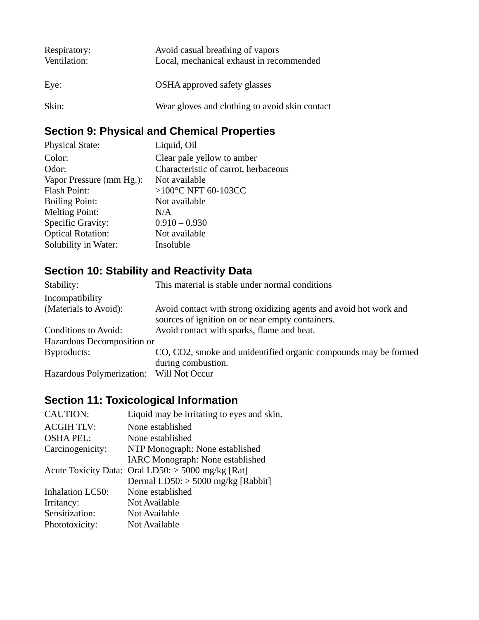| Respiratory:<br>Ventilation: | Avoid casual breathing of vapors<br>Local, mechanical exhaust in recommended |
|------------------------------|------------------------------------------------------------------------------|
| Eye:                         | OSHA approved safety glasses                                                 |
| Skin:                        | Wear gloves and clothing to avoid skin contact                               |

## **Section 9: Physical and Chemical Properties**

| <b>Physical State:</b>   | Liquid, Oil                          |
|--------------------------|--------------------------------------|
| Color:                   | Clear pale yellow to amber           |
| Odor:                    | Characteristic of carrot, herbaceous |
| Vapor Pressure (mm Hg.): | Not available                        |
| <b>Flash Point:</b>      | >100°C NFT 60-103CC                  |
| <b>Boiling Point:</b>    | Not available                        |
| <b>Melting Point:</b>    | N/A                                  |
| <b>Specific Gravity:</b> | $0.910 - 0.930$                      |
| <b>Optical Rotation:</b> | Not available                        |
| Solubility in Water:     | Insoluble                            |
|                          |                                      |

## **Section 10: Stability and Reactivity Data**

| Stability:                               | This material is stable under normal conditions                                                                       |
|------------------------------------------|-----------------------------------------------------------------------------------------------------------------------|
| Incompatibility                          |                                                                                                                       |
| (Materials to Avoid):                    | Avoid contact with strong oxidizing agents and avoid hot work and<br>sources of ignition on or near empty containers. |
| Conditions to Avoid:                     | Avoid contact with sparks, flame and heat.                                                                            |
| Hazardous Decomposition or               |                                                                                                                       |
| Byproducts:                              | CO, CO2, smoke and unidentified organic compounds may be formed<br>during combustion.                                 |
| Hazardous Polymerization: Will Not Occur |                                                                                                                       |

## **Section 11: Toxicological Information**

| <b>CAUTION:</b>         | Liquid may be irritating to eyes and skin.         |
|-------------------------|----------------------------------------------------|
| <b>ACGIH TLV:</b>       | None established                                   |
| <b>OSHA PEL:</b>        | None established                                   |
| Carcinogenicity:        | NTP Monograph: None established                    |
|                         | IARC Monograph: None established                   |
|                         | Acute Toxicity Data: Oral LD50: > 5000 mg/kg [Rat] |
|                         | Dermal LD50: > 5000 mg/kg [Rabbit]                 |
| <b>Inhalation LC50:</b> | None established                                   |
| Irritancy:              | Not Available                                      |
| Sensitization:          | Not Available                                      |
| Phototoxicity:          | Not Available                                      |